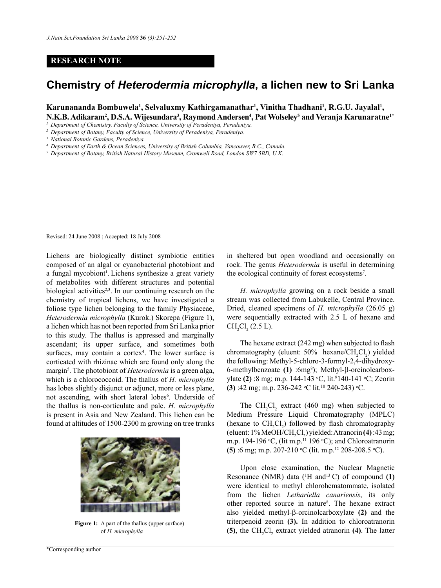## **RESEARCH NOTE**

## **Chemistry of** *Heterodermia microphylla***, a lichen new to Sri Lanka**

**Karunananda Bombuwela<sup>1</sup> , Selvaluxmy Kathirgamanathar<sup>1</sup> , Vinitha Thadhani<sup>1</sup> , R.G.U. Jayalal<sup>1</sup> ,** N.K.B. Adikaram², D.S.A. Wijesundara<sup>3</sup>, Raymond Andersen<sup>4</sup>, Pat Wolseley<sup>5</sup> and Veranja Karunaratne<sup>1\*</sup>

- *<sup>4</sup> Department of Earth & Ocean Sciences, University of British Columbia, Vancouver, B.C., Canada.*
- *<sup>5</sup> Department of Botany, British Natural History Museum, Cromwell Road, London SW7 5BD, U.K.*

Revised: 24 June 2008 ; Accepted: 18 July 2008

Lichens are biologically distinct symbiotic entities composed of an algal or cyanobacterial photobiont and a fungal mycobiont<sup>1</sup>. Lichens synthesize a great variety of metabolites with different structures and potential biological activities<sup> $2,3$ </sup>. In our continuing research on the chemistry of tropical lichens, we have investigated a foliose type lichen belonging to the family Physiaceae, *Heterodermia microphylla* (Kurok.) Skorepa (Figure 1), a lichen which has not been reported from Sri Lanka prior to this study. The thallus is appressed and marginally ascendant; its upper surface, and sometimes both surfaces, may contain a cortex<sup>4</sup>. The lower surface is corticated with rhizinae which are found only along the margin<sup>5</sup>. The photobiont of *Heterodermia* is a green alga, which is a chlorococcoid. The thallus of *H. microphylla* has lobes slightly disjunct or adjunct, more or less plane, not ascending, with short lateral lobes<sup>6</sup>. Underside of the thallus is non-corticulate and pale. *H. microphylla*  is present in Asia and New Zealand. This lichen can be found at altitudes of 1500-2300 m growing on tree trunks



**Figure 1:** A part of the thallus (upper surface) of *H. microphylla*

*Journal of the National Science Foundation of Sri Lanka 36 (3) September 2008* \*Corresponding author

in sheltered but open woodland and occasionally on rock. The genus *Heterodermia* is useful in determining the ecological continuity of forest ecosystems<sup>7</sup>.

*H. microphylla* growing on a rock beside a small stream was collected from Labukelle, Central Province. Dried, cleaned specimens of *H. microphylla* (26.05 g) were sequentially extracted with 2.5 L of hexane and  $CH_2Cl_2 (2.5 L).$ 

The hexane extract (242 mg) when subjected to flash chromatography (eluent:  $50\%$  hexane/ $CH_2Cl_2$ ) yielded the following: Methyl-5-chloro-3-formyl-2,4-dihydroxy-6-methylbenzoate **(1)** :6mg8 ); Methyl-β-orcinolcarboxylate (2) :8 mg; m.p. 144-143 °C, lit.<sup>9</sup>140-141 °C; Zeorin **(3)** :42 mg; m.p. 236-242  $^{\circ}$ C lit.<sup>10</sup> 240-243)  $^{\circ}$ C.

The  $CH_2Cl_2$  extract (460 mg) when subjected to Medium Pressure Liquid Chromatography (MPLC) (hexane to  $CH_2Cl_2$ ) followed by flash chromatography (eluent: 1% MeOH/CH<sub>2</sub>Cl<sub>2</sub>) yielded: Atranorin **(4)** :43 mg; m.p. 194-196 °C, (lit m.p.<sup>11</sup> 196 °C); and Chloroatranorin **(5)** :6 mg; m.p. 207-210 °C (lit. m.p.<sup>12</sup> 208-208.5 °C).

Upon close examination, the Nuclear Magnetic Resonance (NMR) data  $(^1H$  and<sup>13</sup> C) of compound (1) were identical to methyl chlorohematommate, isolated from the lichen *Lethariella canariensis*, its only other reported source in nature<sup>8</sup>. The hexane extract also yielded methyl-β-orcinolcarboxylate **(2)** and the triterpenoid zeorin **(3).** In addition to chloroatranorin **(5)**, the  $CH_2Cl_2$  extract yielded atranorin **(4)**. The latter

*<sup>1</sup> Department of Chemistry, Faculty of Science, University of Peradeniya, Peradeniya.*

*<sup>2</sup> Department of Botany, Faculty of Science, University of Peradeniya, Peradeniya.*

*<sup>3</sup> National Botanic Gardens, Peradeniya.*